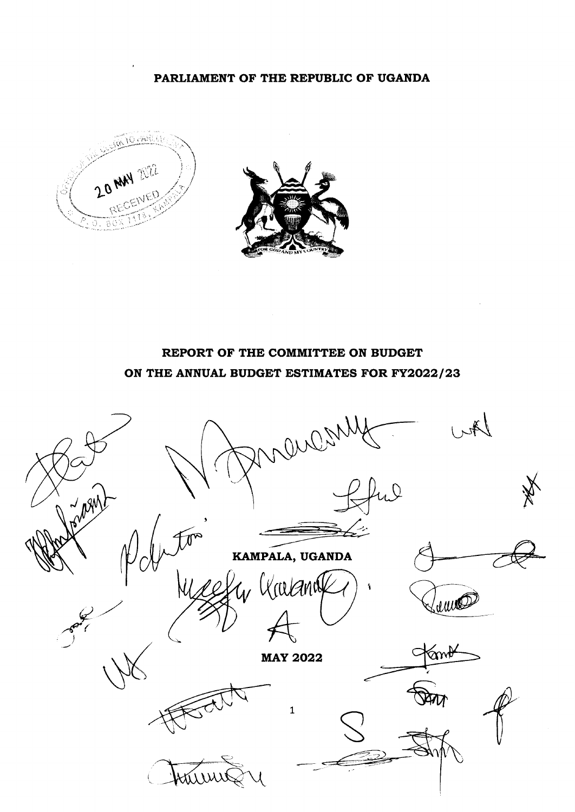#### PARLIAMENT OF THE REPUBLIC OF UGANDA





# REPORT OF THE COMMITTEE ON BUDGET ON THE ANNUAL BUDGET ESTIMATES FOR FY2022/23

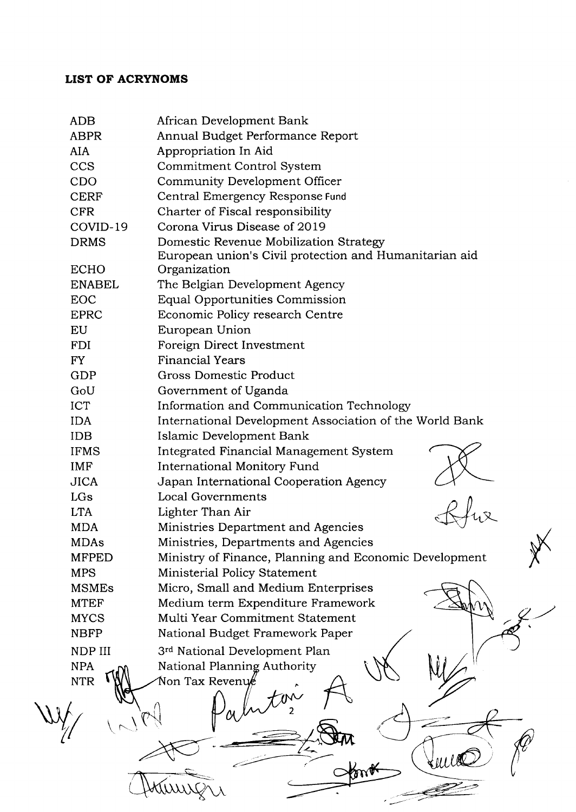# LIST OF ACRYNOMS

| <b>ADB</b>    | African Development Bank                                |
|---------------|---------------------------------------------------------|
| <b>ABPR</b>   | Annual Budget Performance Report                        |
| <b>AIA</b>    | Appropriation In Aid                                    |
| <b>CCS</b>    | Commitment Control System                               |
| CDO           | Community Development Officer                           |
| <b>CERF</b>   | Central Emergency Response Fund                         |
| <b>CFR</b>    | Charter of Fiscal responsibility                        |
| COVID-19      | Corona Virus Disease of 2019                            |
| <b>DRMS</b>   | Domestic Revenue Mobilization Strategy                  |
|               | European union's Civil protection and Humanitarian aid  |
| <b>ECHO</b>   | Organization                                            |
| <b>ENABEL</b> | The Belgian Development Agency                          |
| EOC           | Equal Opportunities Commission                          |
| <b>EPRC</b>   | Economic Policy research Centre                         |
| EU            | European Union                                          |
| <b>FDI</b>    | Foreign Direct Investment                               |
| FY            | <b>Financial Years</b>                                  |
| GDP           | <b>Gross Domestic Product</b>                           |
| GoU           | Government of Uganda                                    |
| <b>ICT</b>    | Information and Communication Technology                |
| <b>IDA</b>    | International Development Association of the World Bank |
| <b>IDB</b>    | Islamic Development Bank                                |
| <b>IFMS</b>   | Integrated Financial Management System                  |
| <b>IMF</b>    | <b>International Monitory Fund</b>                      |
| <b>JICA</b>   | Japan International Cooperation Agency                  |
| LGs           | <b>Local Governments</b>                                |
| <b>LTA</b>    | Lighter Than Air                                        |
| <b>MDA</b>    | Ministries Department and Agencies                      |
| <b>MDAs</b>   | Ministries, Departments and Agencies                    |
| <b>MFPED</b>  | Ministry of Finance, Planning and Economic Development  |
| <b>MPS</b>    | Ministerial Policy Statement                            |
| <b>MSMEs</b>  | Micro, Small and Medium Enterprises                     |
| <b>MTEF</b>   | Medium term Expenditure Framework                       |
| <b>MYCS</b>   | Multi Year Commitment Statement                         |
| <b>NBFP</b>   | National Budget Framework Paper                         |
| NDP III       | 3rd National Development Plan                           |
| <b>NPA</b>    | National Planning Authority                             |
| <b>NTR</b>    | Non Tax Revenu $\rlap{\ell\ell}$                        |
|               |                                                         |
|               |                                                         |
|               |                                                         |
|               |                                                         |
|               |                                                         |
|               |                                                         |
|               |                                                         |
|               |                                                         |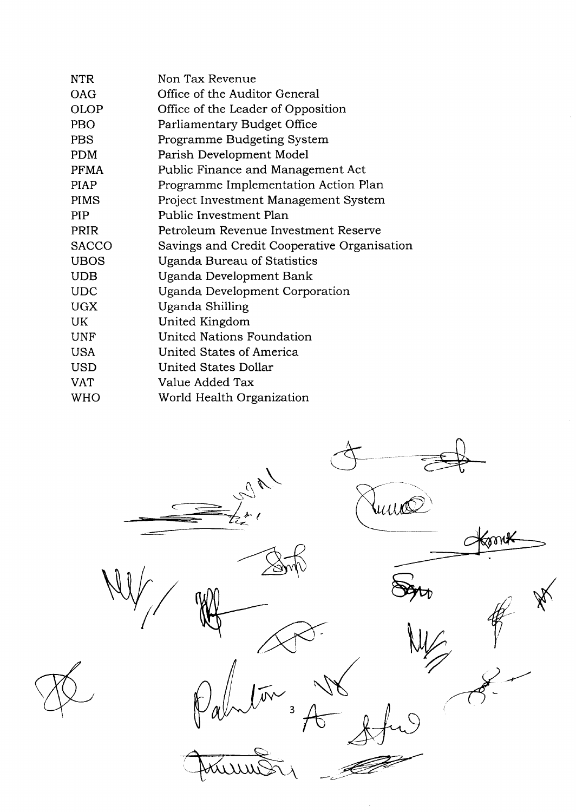| <b>NTR</b>   | Non Tax Revenue                             |
|--------------|---------------------------------------------|
| <b>OAG</b>   | Office of the Auditor General               |
| <b>OLOP</b>  | Office of the Leader of Opposition          |
| PBO          | Parliamentary Budget Office                 |
| <b>PBS</b>   | Programme Budgeting System                  |
| <b>PDM</b>   | Parish Development Model                    |
| <b>PFMA</b>  | Public Finance and Management Act           |
| <b>PIAP</b>  | Programme Implementation Action Plan        |
| <b>PIMS</b>  | Project Investment Management System        |
| <b>PIP</b>   | Public Investment Plan                      |
| PRIR         | Petroleum Revenue Investment Reserve        |
| <b>SACCO</b> | Savings and Credit Cooperative Organisation |
| <b>UBOS</b>  | Uganda Bureau of Statistics                 |
| <b>UDB</b>   | Uganda Development Bank                     |
| <b>UDC</b>   | Uganda Development Corporation              |
| <b>UGX</b>   | Uganda Shilling                             |
| UK.          | United Kingdom                              |
| <b>UNF</b>   | <b>United Nations Foundation</b>            |
| <b>USA</b>   | United States of America                    |
| <b>USD</b>   | United States Dollar                        |
| VAT          | Value Added Tax                             |
| <b>WHO</b>   | World Health Organization                   |

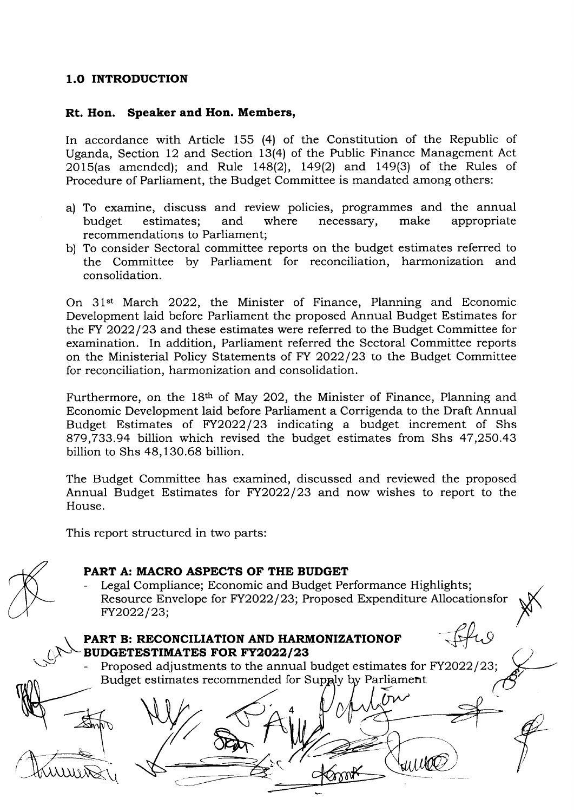#### 1.O INTRODUCTION

#### Rt. Hon. Speaker and Hon. Members,

In accordance with Article 155 (4) of the Constitution of the Republic of Uganda, Section 12 and Section 13(4) of the Public Finance Management Act  $2015$ (as amended); and Rule 148(2), 149(2) and 149(3) of the Rules of Procedure of Parliament, the Budget Committee is mandated among others:

- a) To examine, discuss and review policies, programmes and the annual budget estimates; and where necessary, make appropriate recommendations to Parliament;
- b) To consider Sectoral committee reports on the budget estimates referred to the Committee by Parliament for reconciliation, harmonization and consolidation.

On 31"t March 2022, the Minister of Finance, Planning and Economic Development laid before Parliament the proposed Annual Budget Estimates for the FY 2022/23 and these estimates were referred to the Budget Committee for examination. In addition, Parliament referred the Sectoral Committee reports on the Ministerial Policy Statements of FY 2022/23 to the Budget Committee for reconciliation, harmonization and consolidation.

Furthermore, on the 18<sup>th</sup> of May 202, the Minister of Finance, Planning and Economic Development laid before Parliament a Corrigenda to the Draft Annual Budget Estimates of FY2O22|23 indicating a budget increment of Shs 879,733.94 billion which revised the budget estimates from Shs 47,250.43 billion to Shs 48,130.68 billion.

The Budget Committee has examined, discussed and reviewed the proposed Annual Budget Estimates for FV2O22|23 and now wishes to report to the House.

This report structured in two parts:

 $\subset$ 

 $\cup$ 

## PART A: MACRO ASPECTS OF THE BUDGET

Legal Compliance; Economic and Budget Performance Highlights; Resource Envelope for FY2022/23; Proposed Expenditure Allocationsfor FY2022/23;

ffw

Wille

## PART B: RECONCILIATION AND HARMONIZATIONOF BUDGETESTIMATES FOR FY2022/23

 $\frac{1}{\sqrt{2}}$ 

Proposed adjustments to the annual budget estimates for FY2022/23; Budget estimates recommended for Supply by Parliament

4

 $\overline{\mathcal{E}}$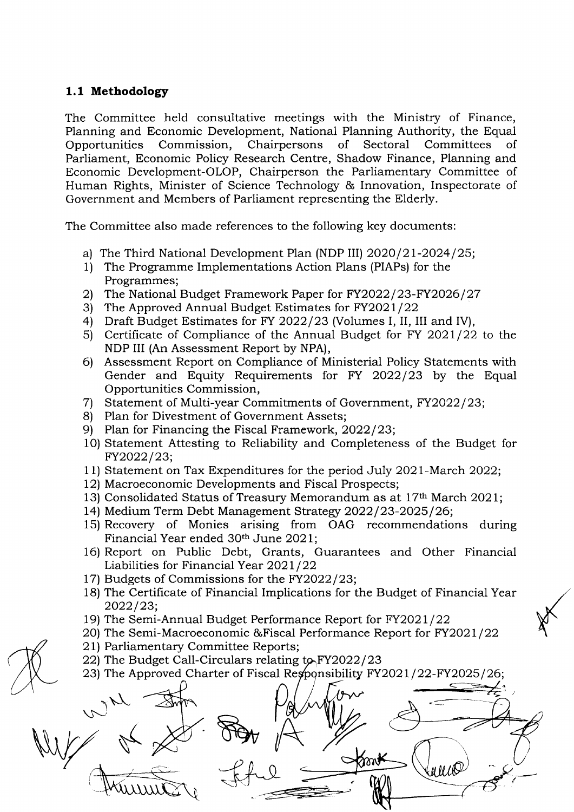#### 1.1 Methodology

The Committee held consultative meetings with the Ministry of Finance, Planning and Economic Development, National Planning Authority, the Equal Opportunities Commission, Chairpersons of Sectoral Committees of Parliament, Economic Policy Research Centre, Shadow Finance, Planning and Economic Development-OlOP, Chairperson the Parliamentary Committee of Human Rights, Minister of Science Technologr & Innovation, Inspectorate of Government and Members of Parliament representing the Elderly.

The Committee also made references to the following key documents

- a) The Third National Development Plan (NDP III) 2020/21-2024/25;<br>1) The Programme Implementations Action Plans (PIAPs) for the
- Programmes;
- 2) The National Budget Framework Paper for FY2022/23-FY2026/27
- 3) The Approved Annual Budget Estimates for  $FY2021/22$
- 4) Draft Budget Estimates for FY 2022/23 (Volumes I, II, III and IV),
- 5) Certificate of Compliance of the Annual Budget for FY 2021/22 to the NDP III (An Assessment Report by NPA),
- 6l Assessment Report on Compliance of Ministerial Policy Statements with Gender and Equity Requirements for FY 2022/23 by the Equal Opportunities Commission,
- 7) Statement of Multi-year Commitments of Government, FY2022/23;
- 8) Plan for Divestment of Government Assets;
- 9) Plan for Financing the Fiscal Framework, 2022/23;
- 10) Statement Attesting to Reliability and Completeness of the Budget for FY2022/23;
- 11) Statement on Tax Expenditures for the period July 2o2l-March 2022;
- 12) Macroeconomic Developments and Fiscal Prospects;
- 13) Consolidated Status of Treasury Memorandum as at 17th March 2021;
- 14) Medium Term Debt Management Strategy 2022/23-2025/26;
- 15) Recovery of Monies arising from OAG recommendations during Financial Year ended 30<sup>th</sup> June 2021;
- 16) Report on Public Debt, Grants, Guarantees and Other Financial Liabilities for Financial Year 2021/22
- 17) Budgets of Commissions for the FY2022/23;
- 18) The Certificate of Financial Implications for the Budget of Financial Year  $2022/23;$
- 19) The Semi-Annual Budget Performance Report for FY2021/22
- 20) The Semi-Macroeconomic & Fiscal Performance Report for FY2021/22
- 21) Parliamentary Committee Reports;
- 22) The Budget Call-Circulars relating  $t_{\mathcal{P}}$  FY2022/23
- 23) The Approved Charter of Fiscal Responsibility  $FY2021/22-FY2025/26;$

 $\leq$   $\Rightarrow$  $\checkmark$  $\sim$  $\begin{picture}(180,170) \put(150,170){\makebox(0,0){$b$}} \put(150,170){\makebox(0,0){$b$}} \put(150,170){\makebox(0,0){$b$}} \put(150,170){\makebox(0,0){$b$}} \put(150,170){\makebox(0,0){$b$}} \put(150,170){\makebox(0,0){$b$}} \put(150,170){\makebox(0,0){$b$}} \put(150,170){\makebox(0,0){$b$}} \put(150,170){\makebox(0,0){$b$}}$ Knon≮ u u ce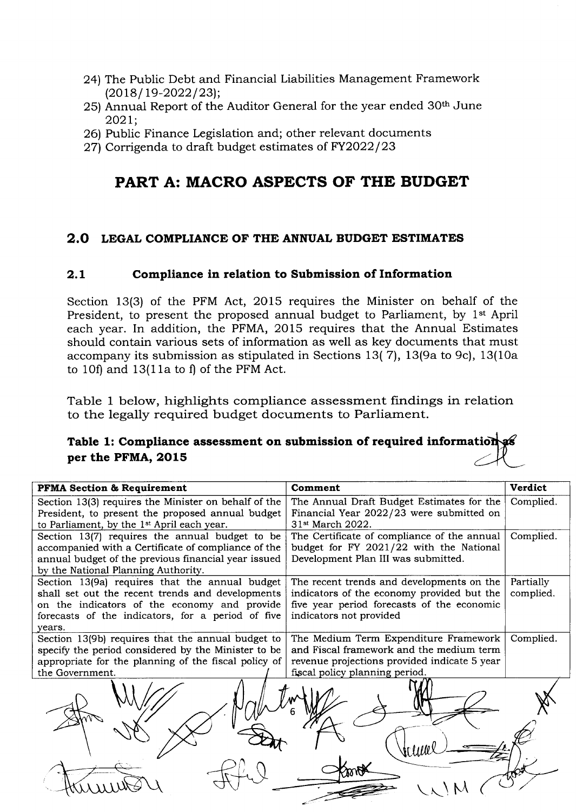- 2al Thc Public Debt and Financial Liabilities Management Framework  $(2018/19 - 2022/23);$
- 25) Annual Report of the Auditor General for the year ended 30<sup>th</sup> June 202t;
- 26) Public Finance Legislation and; other relevant documents
- 27) Corrigenda to draft budget estimates of FY2022/23

# PART A: MACRO ASPECTS OF THE BUDGET

# 2.O LEGAL COMPLIANCE OF THE ANNUAL BUDGET ESTIMATES

### 2.L Compliance in relation to Submission of Information

Section 13(3) of the PFM Act, 2015 requires the Minister on behalf of the President, to present the proposed annual budget to Parliament, by 1<sup>st</sup> April each year. In addition, the PFMA, 2015 requires that the Annual Estimates should contain various sets of information as well as key documents that must accompany its submission as stipulated in Sections 13( 71, l3(9a to 9c), 13(10a to 10f) and 13(1la to f) of the PFM Act.

Table 1 below, highlights compliance assessment findings in relation to the legally required budget documents to Parliament.

# Table 1: Compliance assessment on submission of required per the PFMA, 2015

| <b>PFMA Section &amp; Requirement</b>                  | Comment                                      | <b>Verdict</b> |
|--------------------------------------------------------|----------------------------------------------|----------------|
| Section 13(3) requires the Minister on behalf of the   | The Annual Draft Budget Estimates for the    | Complied.      |
| President, to present the proposed annual budget       | Financial Year 2022/23 were submitted on     |                |
| to Parliament, by the 1 <sup>st</sup> April each year. | 31 <sup>st</sup> March 2022.                 |                |
| Section 13(7) requires the annual budget to be         | The Certificate of compliance of the annual  | Complied.      |
| accompanied with a Certificate of compliance of the    | budget for FY 2021/22 with the National      |                |
| annual budget of the previous financial year issued    | Development Plan III was submitted.          |                |
| by the National Planning Authority.                    |                                              |                |
| Section 13(9a) requires that the annual budget         | The recent trends and developments on the    | Partially      |
| shall set out the recent trends and developments       | indicators of the economy provided but the   | complied.      |
| on the indicators of the economy and provide           | five year period forecasts of the economic   |                |
| forecasts of the indicators, for a period of five      | indicators not provided                      |                |
| vears.                                                 |                                              |                |
| Section 13(9b) requires that the annual budget to      | The Medium Term Expenditure Framework        | Complied.      |
| specify the period considered by the Minister to be    | and Fiscal framework and the medium term     |                |
| appropriate for the planning of the fiscal policy of   | revenue projections provided indicate 5 year |                |
| the Government.                                        | fiscal policy planning period.               |                |
|                                                        |                                              |                |
|                                                        |                                              |                |
|                                                        |                                              |                |
|                                                        |                                              |                |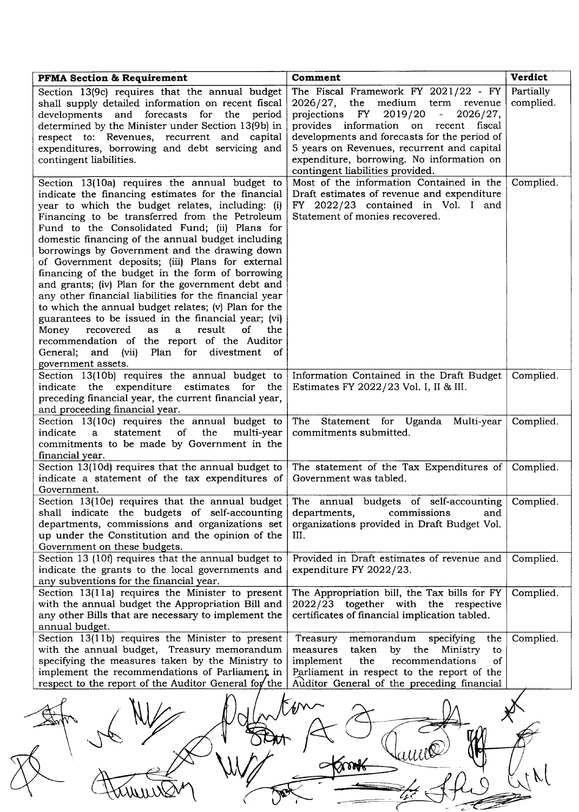| <b>PFMA Section &amp; Requirement</b>                                                                                                                                                                                                                                                                                                                                                                                                                                                                                                                                                                                                                                                                                                                                                                                                                                                          | Comment                                                                                                                                                                                                                                                                                                                                                             | Verdict                |
|------------------------------------------------------------------------------------------------------------------------------------------------------------------------------------------------------------------------------------------------------------------------------------------------------------------------------------------------------------------------------------------------------------------------------------------------------------------------------------------------------------------------------------------------------------------------------------------------------------------------------------------------------------------------------------------------------------------------------------------------------------------------------------------------------------------------------------------------------------------------------------------------|---------------------------------------------------------------------------------------------------------------------------------------------------------------------------------------------------------------------------------------------------------------------------------------------------------------------------------------------------------------------|------------------------|
| Section 13(9c) requires that the annual budget<br>shall supply detailed information on recent fiscal<br>developments and forecasts for the period<br>determined by the Minister under Section 13(9b) in<br>respect to: Revenues, recurrent and capital<br>expenditures, borrowing and debt servicing and<br>contingent liabilities.                                                                                                                                                                                                                                                                                                                                                                                                                                                                                                                                                            | The Fiscal Framework FY 2021/22 - FY<br>medium<br>$2026/27$ , the<br>term revenue<br>FY 2019/20<br>2026/27,<br>projections<br>$\frac{1}{2}$<br>provides information on recent fiscal<br>developments and forecasts for the period of<br>5 years on Revenues, recurrent and capital<br>expenditure, borrowing. No information on<br>contingent liabilities provided. | Partially<br>complied. |
| Section 13(10a) requires the annual budget to<br>indicate the financing estimates for the financial<br>year to which the budget relates, including: (i)<br>Financing to be transferred from the Petroleum<br>Fund to the Consolidated Fund; (ii) Plans for<br>domestic financing of the annual budget including<br>borrowings by Government and the drawing down<br>of Government deposits; (iii) Plans for external<br>financing of the budget in the form of borrowing<br>and grants; (iv) Plan for the government debt and<br>any other financial liabilities for the financial year<br>to which the annual budget relates; (v) Plan for the<br>guarantees to be issued in the financial year; (vi)<br>result<br>of<br>Money<br>recovered<br>as<br>$\mathbf{a}$<br>the<br>recommendation of the report of the Auditor<br>General; and (vii) Plan for divestment<br>0f<br>government assets. | Most of the information Contained in the<br>Draft estimates of revenue and expenditure<br>FY 2022/23 contained in Vol. I and<br>Statement of monies recovered.                                                                                                                                                                                                      | Complied.              |
| Section 13(10b) requires the annual budget to<br>indicate the expenditure estimates for the<br>preceding financial year, the current financial year,<br>and proceeding financial year.                                                                                                                                                                                                                                                                                                                                                                                                                                                                                                                                                                                                                                                                                                         | Information Contained in the Draft Budget<br>Estimates FY 2022/23 Vol. I, II & III.                                                                                                                                                                                                                                                                                 | Complied.              |
| Section 13(10c) requires the annual budget to<br>statement<br>indicate<br>0f<br>the<br>multi-year<br>$\mathbf{a}$<br>commitments to be made by Government in the<br>financial year.                                                                                                                                                                                                                                                                                                                                                                                                                                                                                                                                                                                                                                                                                                            | The Statement for Uganda Multi-year<br>commitments submitted.                                                                                                                                                                                                                                                                                                       | Complied.              |
| Section 13(10d) requires that the annual budget to<br>indicate a statement of the tax expenditures of<br>Government.                                                                                                                                                                                                                                                                                                                                                                                                                                                                                                                                                                                                                                                                                                                                                                           | The statement of the Tax Expenditures of<br>Government was tabled.                                                                                                                                                                                                                                                                                                  | Complied.              |
| Section 13(10e) requires that the annual budget<br>shall indicate the budgets of self-accounting<br>departments, commissions and organizations set<br>up under the Constitution and the opinion of the<br>Government on these budgets.                                                                                                                                                                                                                                                                                                                                                                                                                                                                                                                                                                                                                                                         | The annual budgets of self-accounting<br>departments,<br>commissions<br>and<br>organizations provided in Draft Budget Vol.<br>III.                                                                                                                                                                                                                                  | Complied.              |
| Section 13 (10f) requires that the annual budget to<br>indicate the grants to the local governments and<br>any subventions for the financial year.                                                                                                                                                                                                                                                                                                                                                                                                                                                                                                                                                                                                                                                                                                                                             | Provided in Draft estimates of revenue and<br>expenditure FY 2022/23.                                                                                                                                                                                                                                                                                               | Complied.              |
| Section 13(11a) requires the Minister to present<br>with the annual budget the Appropriation Bill and<br>any other Bills that are necessary to implement the<br>annual budget.                                                                                                                                                                                                                                                                                                                                                                                                                                                                                                                                                                                                                                                                                                                 | The Appropriation bill, the Tax bills for FY<br>2022/23 together with the respective<br>certificates of financial implication tabled.                                                                                                                                                                                                                               | Complied.              |
| Section 13(11b) requires the Minister to present<br>with the annual budget, Treasury memorandum<br>specifying the measures taken by the Ministry to<br>implement the recommendations of Parliament, in<br>respect to the report of the Auditor General for the                                                                                                                                                                                                                                                                                                                                                                                                                                                                                                                                                                                                                                 | Treasury<br>memorandum<br>specifying<br>the<br>measures<br>taken<br>by<br>the<br>Ministry<br>to<br>implement<br>the<br>recommendations<br>of<br>Parliament in respect to the report of the<br>Auditor General of the preceding financial                                                                                                                            | Complied.              |
|                                                                                                                                                                                                                                                                                                                                                                                                                                                                                                                                                                                                                                                                                                                                                                                                                                                                                                |                                                                                                                                                                                                                                                                                                                                                                     |                        |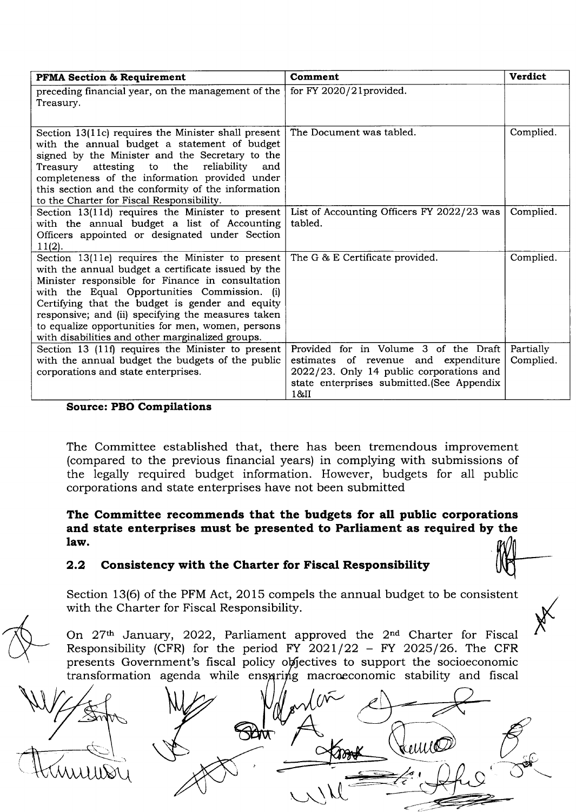| <b>PFMA Section &amp; Requirement</b>                                                                                                                                                                                                                                                                                                                                                                                        | Comment                                                                                                                                                                         | <b>Verdict</b>         |
|------------------------------------------------------------------------------------------------------------------------------------------------------------------------------------------------------------------------------------------------------------------------------------------------------------------------------------------------------------------------------------------------------------------------------|---------------------------------------------------------------------------------------------------------------------------------------------------------------------------------|------------------------|
| preceding financial year, on the management of the<br>Treasury.                                                                                                                                                                                                                                                                                                                                                              | for FY $2020/21$ provided.                                                                                                                                                      |                        |
| Section 13(11c) requires the Minister shall present<br>with the annual budget a statement of budget<br>signed by the Minister and the Secretary to the<br>attesting to<br>the<br>reliability<br>Treasurv<br>and<br>completeness of the information provided under<br>this section and the conformity of the information<br>to the Charter for Fiscal Responsibility.                                                         | The Document was tabled.                                                                                                                                                        | Complied.              |
| Section 13(11d) requires the Minister to present<br>with the annual budget a list of Accounting<br>Officers appointed or designated under Section<br>$11(2)$ .                                                                                                                                                                                                                                                               | List of Accounting Officers FY 2022/23 was<br>tabled.                                                                                                                           | Complied.              |
| Section 13(11e) requires the Minister to present<br>with the annual budget a certificate issued by the<br>Minister responsible for Finance in consultation<br>with the Equal Opportunities Commission. (i)<br>Certifying that the budget is gender and equity<br>responsive; and (ii) specifying the measures taken<br>to equalize opportunities for men, women, persons<br>with disabilities and other marginalized groups. | The G & E Certificate provided.                                                                                                                                                 | Complied.              |
| Section 13 (11f) requires the Minister to present<br>with the annual budget the budgets of the public<br>corporations and state enterprises.                                                                                                                                                                                                                                                                                 | Provided for in Volume 3 of the Draft<br>estimates of revenue and expenditure<br>2022/23. Only 14 public corporations and<br>state enterprises submitted. (See Appendix<br>18JI | Partially<br>Complied. |

#### Source: PBO Compilations

The Committee established that, there has been tremendous improvement (compared to the previous financial years) in complying with submissions of the legally required budget information. However, budgets for all public corporations and state enterprises have not been submitted

#### The Committee recommends that the budgets for all public corporations and state enterprises must be presented to Parliament as required by the law.

## 2.2 Consistency with the Charter for Fiscal Responsibility

Section 13(6) of the PFM Act, 2015 compels the annual budget to be consistent with the Charter for Fiscal Responsibility.

X

On 27<sup>th</sup> January, 2022, Parliament approved the 2<sup>nd</sup> Charter for Fiscal Responsibility (CFR) for the period FY 2021/22 - FY 2025/26. The CFR here pointing (CFR) for the period FT 2021/22 THT 2020/20. The CFR<br>presents Government's fiscal policy objectives to support the socioeconomic .<br>transformation agenda while enspring macroeconomic stability and fiscal

WUIDY I $\bigcup$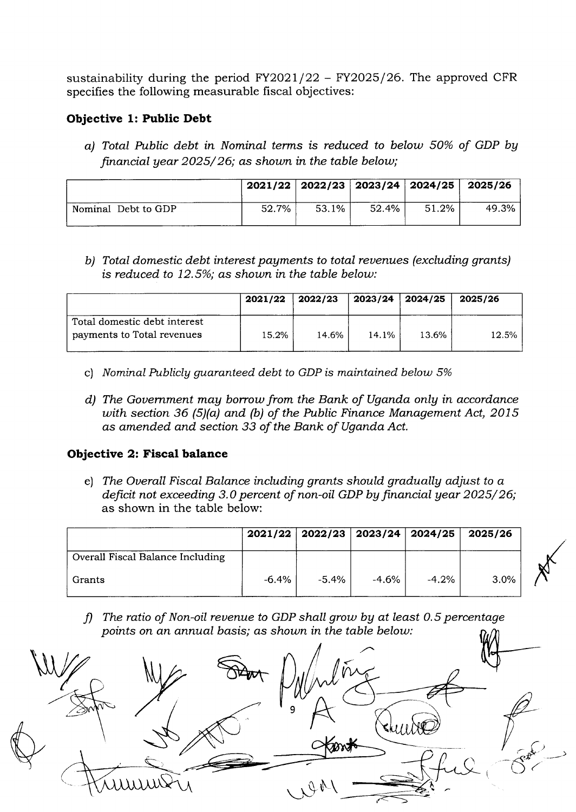sustainability during the period  $FY2021/22 - FY2025/26$ . The approved CFR specifies the following measurable fiscal objectives:

### Objective 1: Public Debt

a) Total Public debt in Nominal terms is reduced to belout 50% of GDP bg financial year  $2025/26$ ; as shown in the table below;

|                     |       | $2021/22$   2022/23   2023/24   2024/25   2025/26 |       |       |       |
|---------------------|-------|---------------------------------------------------|-------|-------|-------|
| Nominal Debt to GDP | 52.7% | 53.1%                                             | 52.4% | 51.2% | 49.3% |

b) Total domestic debt interest payments to total revenues (excluding grants) is reduced to  $12.5\%$ ; as shown in the table below:

|                                                            | 2021/22 | $\vert$ 2022/23 | 2023/24 2024/25 |       | 2025/26 |
|------------------------------------------------------------|---------|-----------------|-----------------|-------|---------|
| Total domestic debt interest<br>payments to Total revenues | 15.2%   | 14.6%           | 14.1%           | 13.6% | 12.5%   |

- c) Nominal Publicly guaranteed debt to GDP is maintained below 5%
- $d$ ) The Government may borrow from the Bank of Uganda only in accordance uith section 36 (5)(a) and (b) of the Public Finance Management Act, 2015 as amended and section 33 of the Bank of Uganda Act.

#### Objective 2: Fiscal balance

e) The Overall Fiscal Balance including grants should gradually adjust to  $a$ deficit not exceeding 3.0 percent of non-oil GDP by financial year  $2025/ 26$ ; as shown in the table below:

|                                  |          | $2021/22$   2022/23   2023/24   2024/25 |          |         | 2025/26 |
|----------------------------------|----------|-----------------------------------------|----------|---------|---------|
| Overall Fiscal Balance Including |          |                                         |          |         |         |
| Grants                           | $-6.4\%$ | $-5.4\%$                                | $-4.6\%$ | $-4.2%$ | $3.0\%$ |

f) The ratio of Non-oil revenue to GDP shall grow by at least 0.5 percentage points on an annual basis; as shown in the table below:

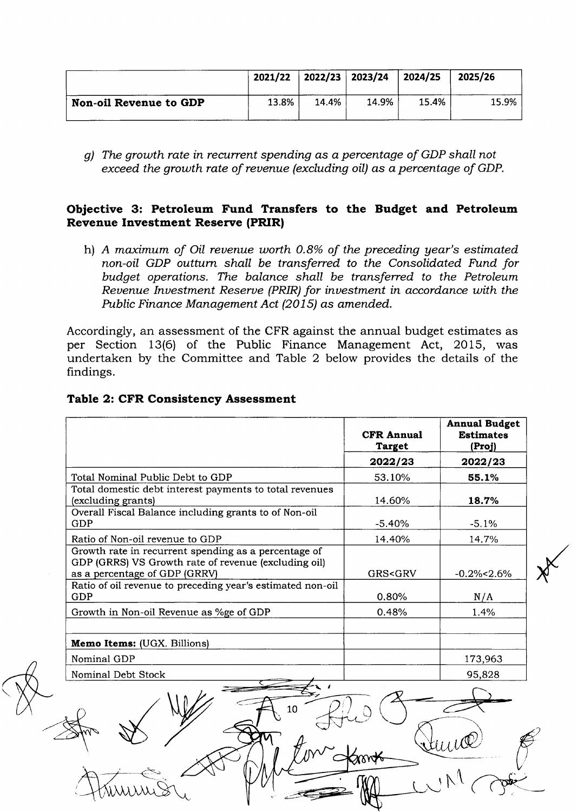|                               | 2021/22 | $\frac{1}{2022/23}$ 2023/24 |       | 2024/25 | 2025/26 |
|-------------------------------|---------|-----------------------------|-------|---------|---------|
| <b>Non-oil Revenue to GDP</b> | 13.8%   | 14.4%                       | 14.9% | 15.4%   | 15.9%   |

g) The growth rate in recurrent spending as a percentage of GDP shall not exceed the growth rate of revenue (excluding oil) as a percentage of GDP.

### Objective 3: Petroleum Fund Transfers to the Budget and Petroleum **Revenue Investment Reserve (PRIR)**

h) A maximum of Oil revenue worth 0.8% of the preceding year's estimated non-oil GDP outturn shall be transferred to the Consolidated Fund for budget operations. The balance shall be transferred to the Petroleum Revenue Investment Reserve (PRIR) for investment in accordance with the Public Finance Management Act (2015) as amended.

Accordingly, an assessment of the CFR against the annual budget estimates as per Section 13(6) of the Public Finance Management Act, 2015, was undertaken by the Committee and Table 2 below provides the details of the findings.

|                                                                                                                                               | <b>CFR Annual</b><br><b>Target</b> | <b>Annual Budget</b><br><b>Estimates</b><br>(Proj) |
|-----------------------------------------------------------------------------------------------------------------------------------------------|------------------------------------|----------------------------------------------------|
|                                                                                                                                               | 2022/23                            | 2022/23                                            |
| Total Nominal Public Debt to GDP                                                                                                              | 53.10%                             | 55.1%                                              |
| Total domestic debt interest payments to total revenues<br>(excluding grants)                                                                 | 14.60%                             | 18.7%                                              |
| Overall Fiscal Balance including grants to of Non-oil<br>GDP                                                                                  | $-5.40%$                           | $-5.1%$                                            |
| Ratio of Non-oil revenue to GDP                                                                                                               | 14.40%                             | 14.7%                                              |
| Growth rate in recurrent spending as a percentage of<br>GDP (GRRS) VS Growth rate of revenue (excluding oil)<br>as a percentage of GDP (GRRV) | <b>GRS<grv< b=""></grv<></b>       | $-0.2\% < 2.6\%$                                   |
| Ratio of oil revenue to preceding year's estimated non-oil<br>GDP                                                                             | 0.80%                              | N/A                                                |
| Growth in Non-oil Revenue as %ge of GDP                                                                                                       | 0.48%                              | 1.4%                                               |
| <b>Memo Items:</b> (UGX. Billions)                                                                                                            |                                    |                                                    |
| Nominal GDP                                                                                                                                   |                                    | 173,963                                            |
| Nominal Debt Stock                                                                                                                            |                                    | 95,828                                             |
| 10                                                                                                                                            |                                    |                                                    |

#### **Table 2: CFR Consistency Assessment**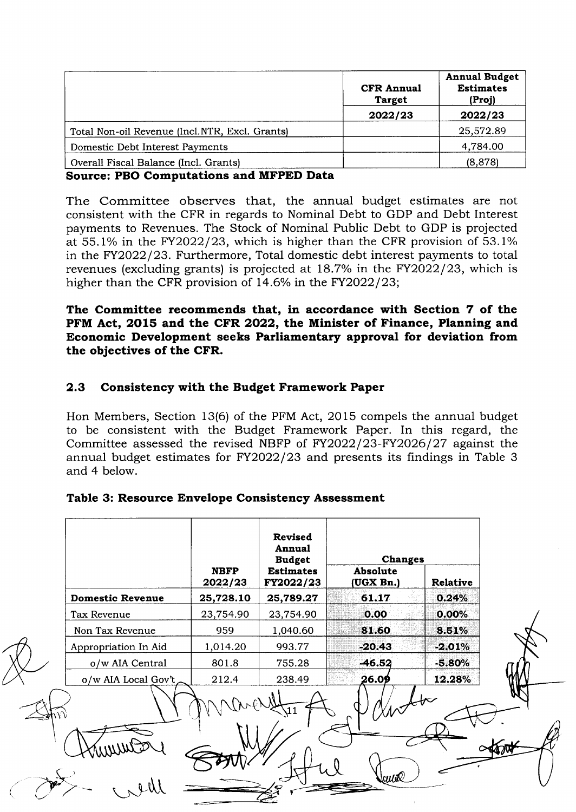|                                                | <b>CFR Annual</b><br><b>Target</b> | <b>Annual Budget</b><br><b>Estimates</b><br>(Proj) |
|------------------------------------------------|------------------------------------|----------------------------------------------------|
|                                                | 2022/23                            | 2022/23                                            |
| Total Non-oil Revenue (Incl.NTR, Excl. Grants) |                                    | 25,572.89                                          |
| Domestic Debt Interest Payments                |                                    | 4,784.00                                           |
| Overall Fiscal Balance (Incl. Grants)          |                                    | (8, 878)                                           |

Source: PBO Computations and MFPED Data

The Committee observes that, the annual budget estimates are not consistent with the CFR in regards to Nominal Debt to GDP and Debt Interest payments to Revenues. The Stock of Nominal Public Debt to GDP is projected at  $55.1\%$  in the FY2022/23, which is higher than the CFR provision of  $53.1\%$ in the FY2022/23. Furthermore, Total domestic debt interest payments to total revenues (excluding grants) is projected at 18.7% in the FY2022/23, which is higher than the CFR provision of  $14.6\%$  in the FY2022/23;

The Committee recommends that, in accordance with Section 7 of the PFM Act, 2O15 and the CFR 2022, the Minister of Finance, Planning and Economic Development seeks Parliamentary approval for deviation from the objectives of the CFR.

# 2.3 Consistency with the Budget Framework Paper

Hon Members, Section 13(6) of the PFM Act, 2Ol5 compels the annual budget to be consistent with the Budget Framework Paper. In this regard, the Committee assessed the revised NBFP of FY2022/23-FY2026/27 against the annual budget estimates for FY2022/23 and presents its findings in Table 3 and 4 below.

## Table 3: Resource Envelope Consistency Assessment

|                         |                        | Revised<br>Annual<br><b>Budget</b> | <b>Changes</b>        |                 |  |
|-------------------------|------------------------|------------------------------------|-----------------------|-----------------|--|
|                         | <b>NBFP</b><br>2022/23 | <b>Estimates</b><br>FY2022/23      | Absolute<br>(UGX Bn.) | <b>Relative</b> |  |
| <b>Domestic Revenue</b> | 25,728.10              | 25,789.27                          | 61.17                 | 0.24%           |  |
| Tax Revenue             | 23,754.90              | 23,754.90                          | 0.00                  | $0.00\%$        |  |
| Non Tax Revenue         | 959                    | 1,040.60                           | 81.60                 | 8.51%           |  |
| Appropriation In Aid    | 1,014.20               | 993.77                             | $-20.43$              | $-2.01%$        |  |
| o/w AIA Central         | 801.8                  | 755.28                             | $-46.52$              | $-5.80%$        |  |
| o/w AIA Local Gov't     | 212.4                  | 238.49                             | 26.09                 | 12.28%          |  |
|                         |                        |                                    |                       |                 |  |
|                         |                        |                                    | Sance                 |                 |  |